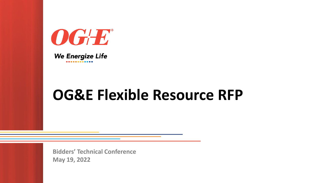

### **We Energize Life**

## **OG&E Flexible Resource RFP**

**Bidders' Technical Conference May 19, 2022**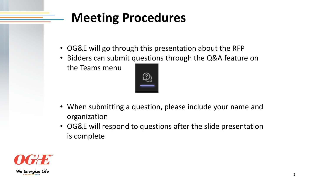## **Meeting Procedures**

- OG&E will go through this presentation about the RFP
- Bidders can submit questions through the Q&A feature on the Teams menu



- When submitting a question, please include your name and organization
- OG&E will respond to questions after the slide presentation is complete

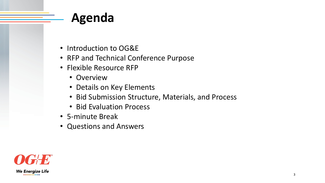## **Agenda**

- Introduction to OG&E
- RFP and Technical Conference Purpose
- Flexible Resource RFP
	- Overview
	- Details on Key Elements
	- Bid Submission Structure, Materials, and Process
	- Bid Evaluation Process
- 5-minute Break
- Questions and Answers

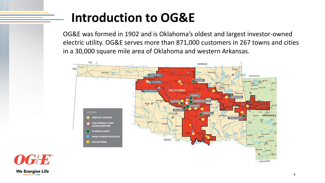## **Introduction to OG&E**

OG&E was formed in 1902 and is Oklahoma's oldest and largest investor-owned electric utility. OG&E serves more than 871,000 customers in 267 towns and cities in a 30,000 square mile area of Oklahoma and western Arkansas.



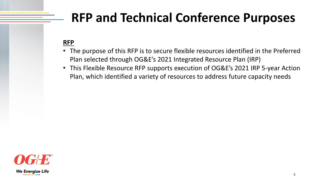## **RFP and Technical Conference Purposes**

### **RFP**

- The purpose of this RFP is to secure flexible resources identified in the Preferred Plan selected through OG&E's 2021 Integrated Resource Plan (IRP)
- This Flexible Resource RFP supports execution of OG&E's 2021 IRP 5-year Action Plan, which identified a variety of resources to address future capacity needs

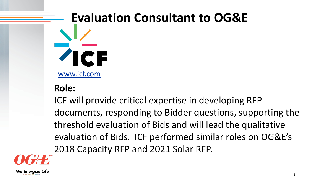# **Evaluation Consultant to OG&E** [www.icf.com](http://www.icf.com/)

### **Role:**

ICF will provide critical expertise in developing RFP documents, responding to Bidder questions, supporting the threshold evaluation of Bids and will lead the qualitative evaluation of Bids. ICF performed similar roles on OG&E's 2018 Capacity RFP and 2021 Solar RFP.



**We Energize Life** 

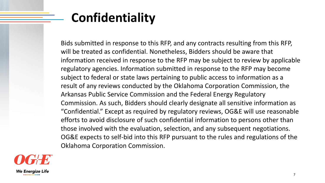## **Confidentiality**

Bids submitted in response to this RFP, and any contracts resulting from this RFP, will be treated as confidential. Nonetheless, Bidders should be aware that information received in response to the RFP may be subject to review by applicable regulatory agencies. Information submitted in response to the RFP may become subject to federal or state laws pertaining to public access to information as a result of any reviews conducted by the Oklahoma Corporation Commission, the Arkansas Public Service Commission and the Federal Energy Regulatory Commission. As such, Bidders should clearly designate all sensitive information as "Confidential." Except as required by regulatory reviews, OG&E will use reasonable efforts to avoid disclosure of such confidential information to persons other than those involved with the evaluation, selection, and any subsequent negotiations. OG&E expects to self-bid into this RFP pursuant to the rules and regulations of the Oklahoma Corporation Commission.

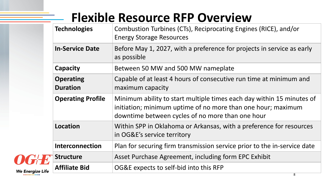## **Flexible Resource RFP Overview**

| <b>Technologies</b>                 | <b>Combustion Turbines (CTs), Reciprocating</b><br><b>Energy Storage Resources</b>                                               |
|-------------------------------------|----------------------------------------------------------------------------------------------------------------------------------|
| <b>In-Service Date</b>              | Before May 1, 2027, with a preference for<br>as possible                                                                         |
| Capacity                            | Between 50 MW and 500 MW nameplate                                                                                               |
| <b>Operating</b><br><b>Duration</b> | Capable of at least 4 hours of consecutive<br>maximum capacity                                                                   |
| <b>Operating Profile</b>            | Minimum ability to start multiple times ea<br>initiation; minimum uptime of no more th<br>downtime between cycles of no more tha |
| <b>Location</b>                     | Within SPP in Oklahoma or Arkansas, with<br>in OG&E's service territory                                                          |
| <b>Interconnection</b>              | Plan for securing firm transmission service                                                                                      |
| <b>Structure</b>                    | Asset Purchase Agreement, including forn                                                                                         |
| <b>Affiliate Bid</b>                | OG&E expects to self-bid into this RFP                                                                                           |



### **The Engines (RICE), and/or**

### For projects in service as early

ve run time at minimum and

- each day within 15 minutes of than one hour; maximum han one hour
- ith a preference for resources
- Interaction for the in-service date **Structure** EPC Exhibit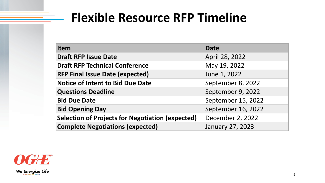## **Flexible Resource RFP Timeline**

| <b>Item</b>                                             | <b>Date</b>        |
|---------------------------------------------------------|--------------------|
| <b>Draft RFP Issue Date</b>                             | April 28, 2022     |
| <b>Draft RFP Technical Conference</b>                   | May 19, 2022       |
| <b>RFP Final Issue Date (expected)</b>                  | June 1, 2022       |
| <b>Notice of Intent to Bid Due Date</b>                 | September 8, 2022  |
| <b>Questions Deadline</b>                               | September 9, 2022  |
| <b>Bid Due Date</b>                                     | September 15, 2022 |
| <b>Bid Opening Day</b>                                  | September 16, 2022 |
| <b>Selection of Projects for Negotiation (expected)</b> | December 2, 2022   |
| <b>Complete Negotiations (expected)</b>                 | January 27, 2023   |

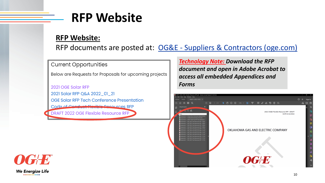## **RFP Website**

### **RFP Website:**

RFP documents are posted at: OG&E - [Suppliers & Contractors \(oge.com\)](https://www.oge.com/wps/portal/ord/who-we-are/supplierscontractors/!ut/p/z1/04_Sj9CPykssy0xPLMnMz0vMAfIjo8zijTxczDy83A38DcL8XQwCjY3MLYLDvIwNfIz1wwkpiAJKG-AAjgZA_VGElBTkRhikOyoqAgDHMMn5/dz/d5/L2dJQSEvUUt3QS80TmxFL1o2XzJIRDZISkcwTzhWQUQwUTM2Nk9JOVAyRzQz/)

**Current Opportunities** 

Below are Requests for Proposals for upcoming projects

2021 OGE Solar RFP 2021 Solar RFP Q&A 2022\_01\_21 OGE Solar RFP Tech Conference Presentation Code of Conduct Florible Pesquices RFP

**DRAFT 2022 OGE Flexible Resource RFP** 

## *document and open in Adobe Acrobat to*

*Technology Note: Download the RFP access all embedded Appendices and Forms* 



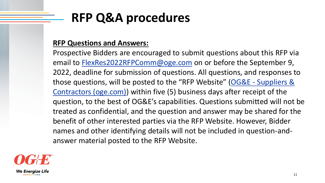## **RFP Q&A procedures**

### **RFP Questions and Answers:**

Prospective Bidders are encouraged to submit questions about this RFP via email to [FlexRes2022RFPComm@oge.com](mailto:FlexRes2022RFPComm@oge.com) on or before the September 9, 2022, deadline for submission of questions. All questions, and responses to those questions, will be posted to the "RFP Website" (OG&E - Suppliers & [Contractors \(oge.com\)\) within five \(5\) business days after receipt of the](https://www.oge.com/wps/portal/ord/who-we-are/supplierscontractors/!ut/p/z1/04_Sj9CPykssy0xPLMnMz0vMAfIjo8zijTxczDy83A38DcL8XQwCjY3MLYLDvIwNfIz1wwkpiAJKG-AAjgZA_VGElBTkRhikOyoqAgDHMMn5/dz/d5/L2dJQSEvUUt3QS80TmxFL1o2XzJIRDZISkcwTzhWQUQwUTM2Nk9JOVAyRzQz/)  question, to the best of OG&E's capabilities. Questions submitted will not be treated as confidential, and the question and answer may be shared for the benefit of other interested parties via the RFP Website. However, Bidder names and other identifying details will not be included in question-andanswer material posted to the RFP Website.

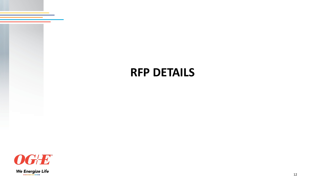## **RFP DETAILS**

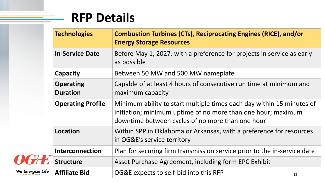## **RFP Details**

| <b>Technologies</b>                 | <b>Combustion Turbines (CTs), Reciprocating</b><br><b>Energy Storage Resources</b>                                               |
|-------------------------------------|----------------------------------------------------------------------------------------------------------------------------------|
| <b>In-Service Date</b>              | Before May 1, 2027, with a preference for<br>as possible                                                                         |
| <b>Capacity</b>                     | Between 50 MW and 500 MW nameplate                                                                                               |
| <b>Operating</b><br><b>Duration</b> | Capable of at least 4 hours of consecutive<br>maximum capacity                                                                   |
| <b>Operating Profile</b>            | Minimum ability to start multiple times ea<br>initiation; minimum uptime of no more th<br>downtime between cycles of no more tha |
| <b>Location</b>                     | Within SPP in Oklahoma or Arkansas, with<br>in OG&E's service territory                                                          |
| <b>Interconnection</b>              | Plan for securing firm transmission service                                                                                      |
| <b>Structure</b>                    | Asset Purchase Agreement, including forn                                                                                         |
| <b>Affiliate Bid</b>                | OG&E expects to self-bid into this RFP                                                                                           |



We Energize Life

### **The Engines (RICE), and/or**

- for projects in service as early
- 

ve run time at minimum and

- each day within 15 minutes of than one hour; maximum han one hour
- **Location Spring in Arkan Spring in Arkansas in Arkansas in Arkansas, with a preference for resources**
- *I* ice prior to the in-service date **Structure** EPC Exhibit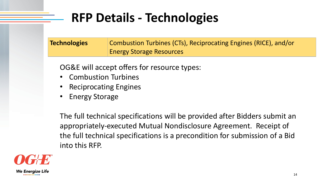## **RFP Details - Technologies**

| <b>Technologies</b> | <b>Combustion Turbines (CTs), Reciprocating</b> |
|---------------------|-------------------------------------------------|
|                     | <b>Energy Storage Resources</b>                 |

OG&E will accept offers for resource types:

- Combustion Turbines
- Reciprocating Engines
- Energy Storage

The full technical specifications will be provided after Bidders submit an appropriately-executed Mutual Nondisclosure Agreement. Receipt of the full technical specifications is a precondition for submission of a Bid into this RFP.



### **Engines (RICE), and/or**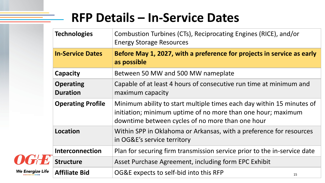## **RFP Details – In-Service Dates**

|  | <b>Technologies</b>                 | <b>Combustion Turbines (CTs), Reciprocating</b><br><b>Energy Storage Resources</b>                                               |
|--|-------------------------------------|----------------------------------------------------------------------------------------------------------------------------------|
|  | <b>In-Service Dates</b>             | Before May 1, 2027, with a preference fo<br>as possible                                                                          |
|  | <b>Capacity</b>                     | Between 50 MW and 500 MW nameplate                                                                                               |
|  | <b>Operating</b><br><b>Duration</b> | Capable of at least 4 hours of consecutive<br>maximum capacity                                                                   |
|  | <b>Operating Profile</b>            | Minimum ability to start multiple times ea<br>initiation; minimum uptime of no more th<br>downtime between cycles of no more tha |
|  | <b>Location</b>                     | Within SPP in Oklahoma or Arkansas, with<br>in OG&E's service territory                                                          |
|  | <b>Interconnection</b>              | Plan for securing firm transmission service                                                                                      |
|  | <b>Structure</b>                    | Asset Purchase Agreement, including forn                                                                                         |
|  | <b>Affiliate Bid</b>                | OG&E expects to self-bid into this RFP                                                                                           |



We Energize Life

### **The Engines (RICE), and/or**

### for projects in service as early

ve run time at minimum and

each day within 15 minutes of than one hour; maximum han one hour

ith a preference for resources

Interaction for the in-service date **Structure** EPC Exhibit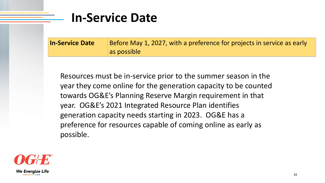## **In-Service Date**

| <b>In-Service Date</b> | Before May 1, 2027, with a preference for |
|------------------------|-------------------------------------------|
|                        | as possible                               |

Resources must be in-service prior to the summer season in the year they come online for the generation capacity to be counted towards OG&E's Planning Reserve Margin requirement in that year. OG&E's 2021 Integrated Resource Plan identifies generation capacity needs starting in 2023. OG&E has a preference for resources capable of coming online as early as possible.



### **Projects in service as early**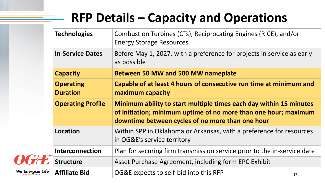## **RFP Details – Capacity and Operations**

|      | <b>Technologies</b>                 | Combustion Turbines (CTs), Reciprocating<br><b>Energy Storage Resources</b>                                                     |
|------|-------------------------------------|---------------------------------------------------------------------------------------------------------------------------------|
|      | <b>In-Service Dates</b>             | Before May 1, 2027, with a preference for<br>as possible                                                                        |
|      | <b>Capacity</b>                     | <b>Between 50 MW and 500 MW nameplate</b>                                                                                       |
|      | <b>Operating</b><br><b>Duration</b> | <b>Capable of at least 4 hours of consecutive</b><br>maximum capacity                                                           |
|      | <b>Operating Profile</b>            | Minimum ability to start multiple times e<br>of initiation; minimum uptime of no more<br>downtime between cycles of no more tha |
|      | <b>Location</b>                     | Within SPP in Oklahoma or Arkansas, with<br>in OG&E's service territory                                                         |
|      | <b>Interconnection</b>              | Plan for securing firm transmission service                                                                                     |
|      | <b>Structure</b>                    | Asset Purchase Agreement, including form                                                                                        |
| Life | <b>Affiliate Bid</b>                | OG&E expects to self-bid into this RFP                                                                                          |

**We Energize Life** 

- **The Engines (RICE), and/or**
- for projects in service as early
- 

**Calcie at minimum and ideo**:

- **S** each day within 15 minutes **ore than one hour; maximum** than one hour
- **Location Spring in Arkan Spring in Arkansas in Arkansas in Arkansas, with a preference for resources**
- *I* ice prior to the in-service date **Structure** EPC Exhibit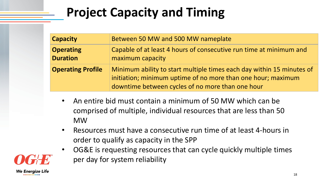## **Project Capacity and Timing**

| <b>Capacity</b>                     | Between 50 MW and 500 MW nameplate                                                                                               |
|-------------------------------------|----------------------------------------------------------------------------------------------------------------------------------|
| <b>Operating</b><br><b>Duration</b> | Capable of at least 4 hours of consecutive<br>maximum capacity                                                                   |
| <b>Operating Profile</b>            | Minimum ability to start multiple times ea<br>initiation; minimum uptime of no more th<br>downtime between cycles of no more tha |

- An entire bid must contain a minimum of 50 MW which can be comprised of multiple, individual resources that are less than 50 MW
- Resources must have a consecutive run time of at least 4-hours in order to qualify as capacity in the SPP
- OG&E is requesting resources that can cycle quickly multiple times per day for system reliability



### e run time at minimum and

**Pach day within 15 minutes of** han one hour; maximum: an one hour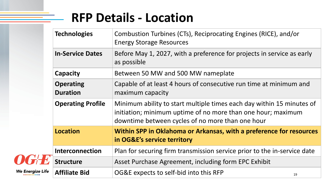## **RFP Details - Location**

| <b>Combustion Turbines (CTs), Reciprocating</b><br><b>Energy Storage Resources</b>                                                                            |
|---------------------------------------------------------------------------------------------------------------------------------------------------------------|
| Before May 1, 2027, with a preference for<br>as possible                                                                                                      |
| Between 50 MW and 500 MW nameplate                                                                                                                            |
| Capable of at least 4 hours of consecutive<br>maximum capacity                                                                                                |
| <b>Operating Profile</b><br>Minimum ability to start multiple times ea<br>initiation; minimum uptime of no more the<br>downtime between cycles of no more tha |
| Within SPP in Oklahoma or Arkansas, wit<br>in OG&E's service territory                                                                                        |
| Plan for securing firm transmission service                                                                                                                   |
| Asset Purchase Agreement, including forn                                                                                                                      |
| OG&E expects to self-bid into this RFP                                                                                                                        |
|                                                                                                                                                               |

### **The Engines (RICE), and/or**

### for projects in service as early

ve run time at minimum and

each day within 15 minutes of than one hour; maximum han one hour

**With a preference for resources** 

Interaction for the in-service date **Structure** EPC Exhibit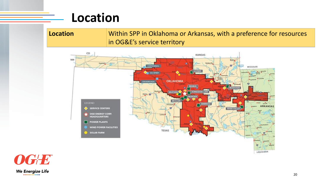## **Location**

### **Location** Within SPP in Oklahoma or Arkansas, with a preference for resources in OG&E's service territory



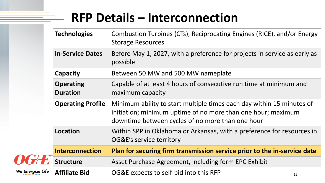## **RFP Details – Interconnection**

|    | <b>Technologies</b>                 | <b>Combustion Turbines (CTs), Reciprocating</b><br><b>Storage Resources</b>                                                      |
|----|-------------------------------------|----------------------------------------------------------------------------------------------------------------------------------|
|    | <b>In-Service Dates</b>             | Before May 1, 2027, with a preference for<br>possible                                                                            |
|    | <b>Capacity</b>                     | Between 50 MW and 500 MW nameplate                                                                                               |
| 7® | <b>Operating</b><br><b>Duration</b> | Capable of at least 4 hours of consecutive<br>maximum capacity                                                                   |
|    | <b>Operating Profile</b>            | Minimum ability to start multiple times ea<br>initiation; minimum uptime of no more th<br>downtime between cycles of no more tha |
|    | <b>Location</b>                     | Within SPP in Oklahoma or Arkansas, with<br>OG&E's service territory                                                             |
|    | <b>Interconnection</b>              | <b>Plan for securing firm transmission service</b>                                                                               |
|    | <b>Structure</b>                    | Asset Purchase Agreement, including forn                                                                                         |
|    | <b>Affiliate Bid</b>                | OG&E expects to self-bid into this RFP                                                                                           |



### g Engines (RICE), and/or Energy

### Indeptedate in service as early as projects in service as early as

e run time at minimum and

each day within 15 minutes of han one hour; maximum: an one hour

th a preference for resources in

### **Interal forms** in-service date

**Structure** Exhibit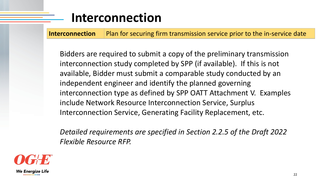## **Interconnection**

**Interconnection** Plan for securing firm transmission service prior to the in-service date

Bidders are required to submit a copy of the preliminary transmission interconnection study completed by SPP (if available). If this is not available, Bidder must submit a comparable study conducted by an independent engineer and identify the planned governing interconnection type as defined by SPP OATT Attachment V. Examples include Network Resource Interconnection Service, Surplus Interconnection Service, Generating Facility Replacement, etc.

*Detailed requirements are specified in Section 2.2.5 of the Draft 2022 Flexible Resource RFP.*

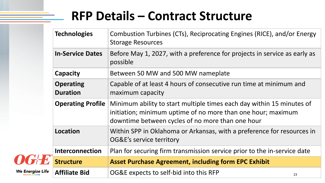## **RFP Details – Contract Structure**

| <b>Technologies</b>                 | Combustion Turbines (CTs), Reciprocating<br><b>Storage Resources</b>                                                              |
|-------------------------------------|-----------------------------------------------------------------------------------------------------------------------------------|
| <b>In-Service Dates</b>             | Before May 1, 2027, with a preference for<br>possible                                                                             |
| <b>Capacity</b>                     | Between 50 MW and 500 MW nameplate                                                                                                |
| <b>Operating</b><br><b>Duration</b> | Capable of at least 4 hours of consecutive<br>maximum capacity                                                                    |
| <b>Operating Profile</b>            | Minimum ability to start multiple times ea<br>initiation; minimum uptime of no more the<br>downtime between cycles of no more tha |
| <b>Location</b>                     | Within SPP in Oklahoma or Arkansas, with<br>OG&E's service territory                                                              |
| <b>Interconnection</b>              | Plan for securing firm transmission service                                                                                       |
| <b>Structure</b>                    | <b>Asset Purchase Agreement, including for</b>                                                                                    |
| <b>Affiliate Bid</b>                | OG&E expects to self-bid into this RFP                                                                                            |
|                                     |                                                                                                                                   |



We Energize Life

### Engines (RICE), and/or Energy

### r projects in service as early as

run time at minimum and

ach day within 15 minutes of han one hour; maximum an one hour

**Location Spreference for resources in Arkangely** 

### **Phanel Find in-service date**  $\theta$

### **Structure Asset Purchase Purchase Purchase Agreement**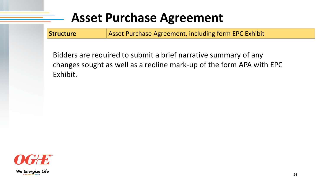## **Asset Purchase Agreement**

**Structure Masset Purchase Agreement, including form EPC Exhibit** 

Bidders are required to submit a brief narrative summary of any changes sought as well as a redline mark-up of the form APA with EPC Exhibit.

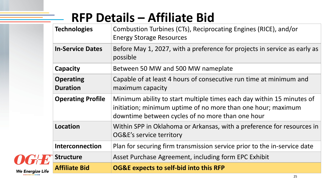## **RFP Details – Affiliate Bid**

|        | <b>Technologies</b>                 | <b>Combustion Turbines (CTs), Reciprocating</b><br><b>Energy Storage Resources</b>                                               |
|--------|-------------------------------------|----------------------------------------------------------------------------------------------------------------------------------|
|        | <b>In-Service Dates</b>             | Before May 1, 2027, with a preference for<br>possible                                                                            |
|        | <b>Capacity</b>                     | Between 50 MW and 500 MW nameplate                                                                                               |
|        | <b>Operating</b><br><b>Duration</b> | Capable of at least 4 hours of consecutive<br>maximum capacity                                                                   |
|        | <b>Operating Profile</b>            | Minimum ability to start multiple times ea<br>initiation; minimum uptime of no more th<br>downtime between cycles of no more tha |
|        | <b>Location</b>                     | Within SPP in Oklahoma or Arkansas, with<br>OG&E's service territory                                                             |
|        | <b>Interconnection</b>              | Plan for securing firm transmission service                                                                                      |
|        | <b>Structure</b>                    | Asset Purchase Agreement, including forn                                                                                         |
| e Life | <b>Affiliate Bid</b>                | <b>OG&amp;E expects to self-bid into this RFP</b>                                                                                |
|        |                                     |                                                                                                                                  |

We Energize Life

### **g Engines (RICE), and/or**

### or projects in service as early as

e run time at minimum and

- each day within 15 minutes of than one hour; maximum han one hour
- **Location Sprutch Sprutch Sprutch in Spreeference for resources in**
- Ice prior to the in-service date
- **Structure** EPC Exhibit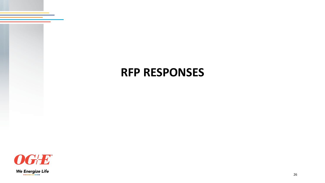## **RFP RESPONSES**

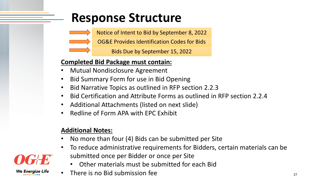## **Response Structure**



Notice of Intent to Bid by September 8, 2022

Bids Due by September 15, 2022

### **Completed Bid Package must contain:**

- Mutual Nondisclosure Agreement
- Bid Summary Form for use in Bid Opening
- Bid Narrative Topics as outlined in RFP section 2.2.3
- Bid Certification and Attribute Forms as outlined in RFP section 2.2.4
- Additional Attachments (listed on next slide)
- Redline of Form APA with EPC Exhibit

- No more than four (4) Bids can be submitted per Site
- To reduce administrative requirements for Bidders, certain materials can be submitted once per Bidder or once per Site
	- Other materials must be submitted for each Bid
- There is no Bid submission fee

### **Additional Notes:**

We Energize Life

OG&E Provides Identification Codes for Bids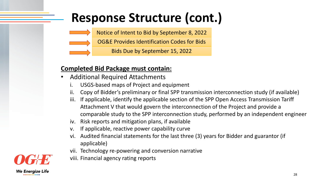## **Response Structure (cont.)**



Notice of Intent to Bid by September 8, 2022

Bids Due by September 15, 2022

### **Completed Bid Package must contain:**

- Additional Required Attachments
	- i. USGS-based maps of Project and equipment
	- ii. Copy of Bidder's preliminary or final SPP transmission interconnection study (if available)
	- iii. If applicable, identify the applicable section of the SPP Open Access Transmission Tariff Attachment V that would govern the interconnection of the Project and provide a comparable study to the SPP interconnection study, performed by an independent engineer
	- iv. Risk reports and mitigation plans, if available
	- v. If applicable, reactive power capability curve
	- vi. Audited financial statements for the last three (3) years for Bidder and guarantor (if applicable)
	- vii. Technology re-powering and conversion narrative
	- viii. Financial agency rating reports



OG&E Provides Identification Codes for Bids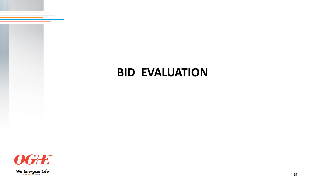## **BID EVALUATION**

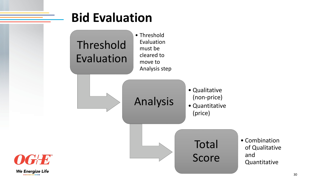## **Bid Evaluation**



• Threshold Evaluation must be cleared to move to Analysis step

> • Combination of Qualitative and **Quantitative**

Analysis



• Quantitative (price)

Total

Score

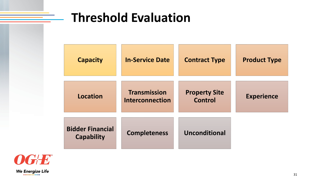## **Threshold Evaluation**

| <b>Capacity</b>                              | <b>In-Service Date</b>                        | <b>Contract Type</b>                   |
|----------------------------------------------|-----------------------------------------------|----------------------------------------|
| Location                                     | <b>Transmission</b><br><b>Interconnection</b> | <b>Property Site</b><br><b>Control</b> |
| <b>Bidder Financial</b><br><b>Capability</b> | <b>Completeness</b>                           | Unconditional                          |



 $\frac{1}{2}$ 

### **Product Type**

### **Experience**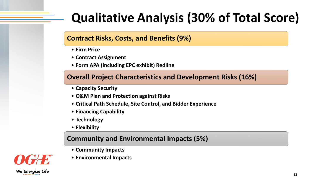## **Qualitative Analysis (30% of Total Score)**

### **Contract Risks, Costs, and Benefits (9%)**

- **Firm Price**
- **Contract Assignment**
- **Form APA (including EPC exhibit) Redline**

### **Overall Project Characteristics and Development Risks (16%)**

- **Capacity Security**
- **O&M Plan and Protection against Risks**
- **Critical Path Schedule, Site Control, and Bidder Experience**
- **Financing Capability**
- **Technology**
- **Flexibility**

### **Community and Environmental Impacts (5%)**

- **Community Impacts**
- **Environmental Impacts**



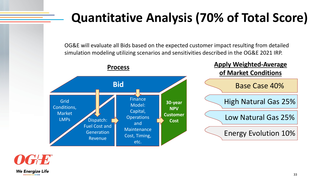## **Quantitative Analysis (70% of Total Score)**

Base Case 40%

High Natural Gas 25%

Energy Evolution 10%





**Apply Weighted-Average of Market Conditions**

OG&E will evaluate all Bids based on the expected customer impact resulting from detailed simulation modeling utilizing scenarios and sensitivities described in the OG&E 2021 IRP.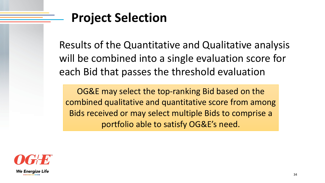## **Project Selection**

Results of the Quantitative and Qualitative analysis will be combined into a single evaluation score for each Bid that passes the threshold evaluation

OG&E may select the top-ranking Bid based on the combined qualitative and quantitative score from among Bids received or may select multiple Bids to comprise a portfolio able to satisfy OG&E's need.

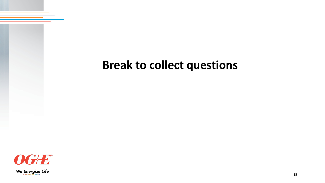## **Break to collect questions**

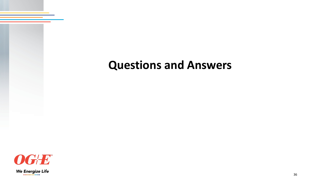## **Questions and Answers**